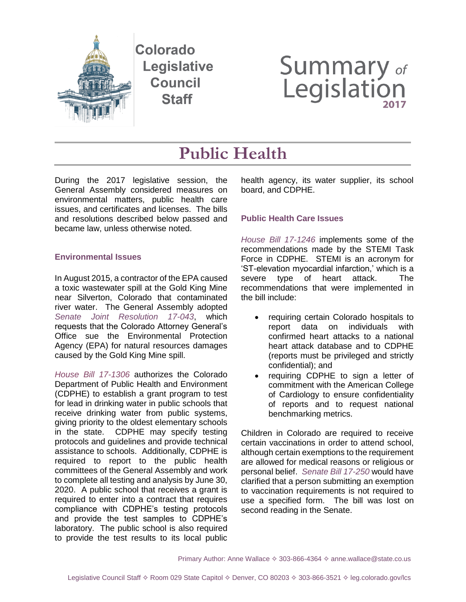

# **Summary of**<br>Legislation

## **Public Health**

During the 2017 legislative session, the General Assembly considered measures on environmental matters, public health care issues, and certificates and licenses. The bills and resolutions described below passed and became law, unless otherwise noted.

### **Environmental Issues**

In August 2015, a contractor of the EPA caused a toxic wastewater spill at the Gold King Mine near Silverton, Colorado that contaminated river water. The General Assembly adopted *[Senate Joint Resolution 17-043](http://leg.colorado.gov/bills/sjr17-043)*, which requests that the Colorado Attorney General's Office sue the Environmental Protection Agency (EPA) for natural resources damages caused by the Gold King Mine spill.

*House Bill 17-1306* authorizes the Colorado Department of Public Health and Environment (CDPHE) to establish a grant program to test for lead in drinking water in public schools that receive drinking water from public systems, giving priority to the oldest elementary schools in the state. CDPHE may specify testing protocols and guidelines and provide technical assistance to schools. Additionally, CDPHE is required to report to the public health committees of the General Assembly and work to complete all testing and analysis by June 30, 2020. A public school that receives a grant is required to enter into a contract that requires compliance with CDPHE's testing protocols and provide the test samples to CDPHE's laboratory. The public school is also required to provide the test results to its local public

health agency, its water supplier, its school board, and CDPHE.

### **Public Health Care Issues**

*[House Bill 17-1246](http://leg.colorado.gov/bills/hb17-1246)* implements some of the recommendations made by the STEMI Task Force in CDPHE. STEMI is an acronym for 'ST-elevation myocardial infarction,' which is a severe type of heart attack. The recommendations that were implemented in the bill include:

- requiring certain Colorado hospitals to report data on individuals with confirmed heart attacks to a national heart attack database and to CDPHE (reports must be privileged and strictly confidential); and
- requiring CDPHE to sign a letter of commitment with the American College of Cardiology to ensure confidentiality of reports and to request national benchmarking metrics.

Children in Colorado are required to receive certain vaccinations in order to attend school, although certain exemptions to the requirement are allowed for medical reasons or religious or personal belief. *[Senate Bill 17-250](http://leg.colorado.gov/bills/sb17-250)* would have clarified that a person submitting an exemption to vaccination requirements is not required to use a specified form. The bill was lost on second reading in the Senate.